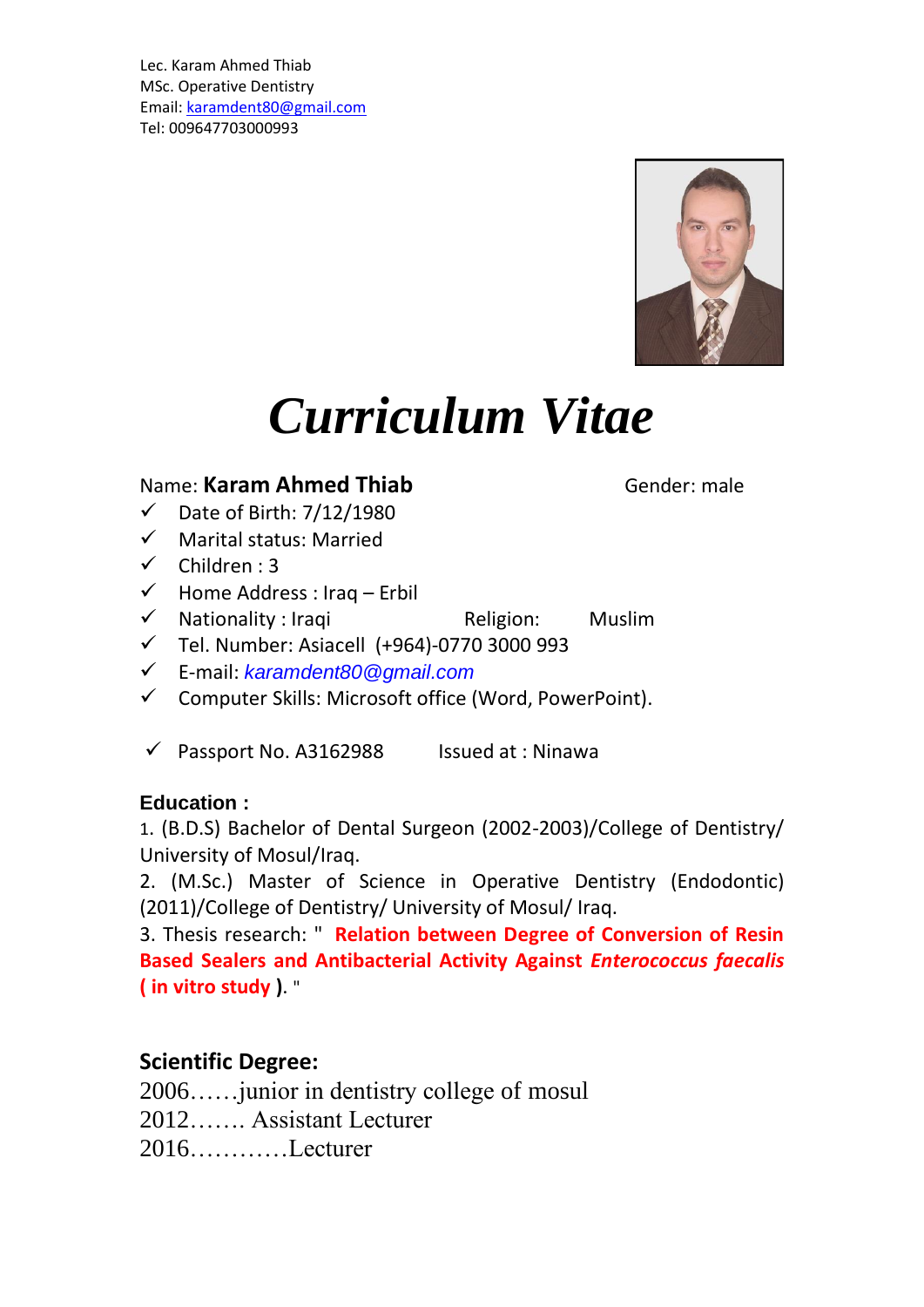Lec. Karam Ahmed Thiab MSc. Operative Dentistry Email: [karamdent80@gmail.com](mailto:karamdent80@gmail.com) Tel: 009647703000993



# *Curriculum Vitae*

#### Name: **Karam Ahmed Thiab** Gender: male

- ✓ Date of Birth: 7/12/1980
- ✓ Marital status: Married
- $\checkmark$  Children : 3
- $\checkmark$  Home Address : Iraq Erbil
- ✓ Nationality : Iraqi Religion: Muslim
- ✓ Tel. Number: Asiacell (+964)-0770 3000 993
- ✓ E-mail: *[karamdent80@gmail.com](mailto:karamdent80@gmail.com)*
- ✓ Computer Skills: Microsoft office (Word, PowerPoint).
- $\checkmark$  Passport No. A3162988 Issued at : Ninawa

#### **Education :**

1. (B.D.S) Bachelor of Dental Surgeon (2002-2003)/College of Dentistry/ University of Mosul/Iraq.

2. (M.Sc.) Master of Science in Operative Dentistry (Endodontic) (2011)/College of Dentistry/ University of Mosul/ Iraq.

3. Thesis research: " **Relation between Degree of Conversion of Resin Based Sealers and Antibacterial Activity Against** *Enterococcus faecalis* **( in vitro study )**. "

#### **Scientific Degree:**

2006……junior in dentistry college of mosul 2012……. Assistant Lecturer 2016…………Lecturer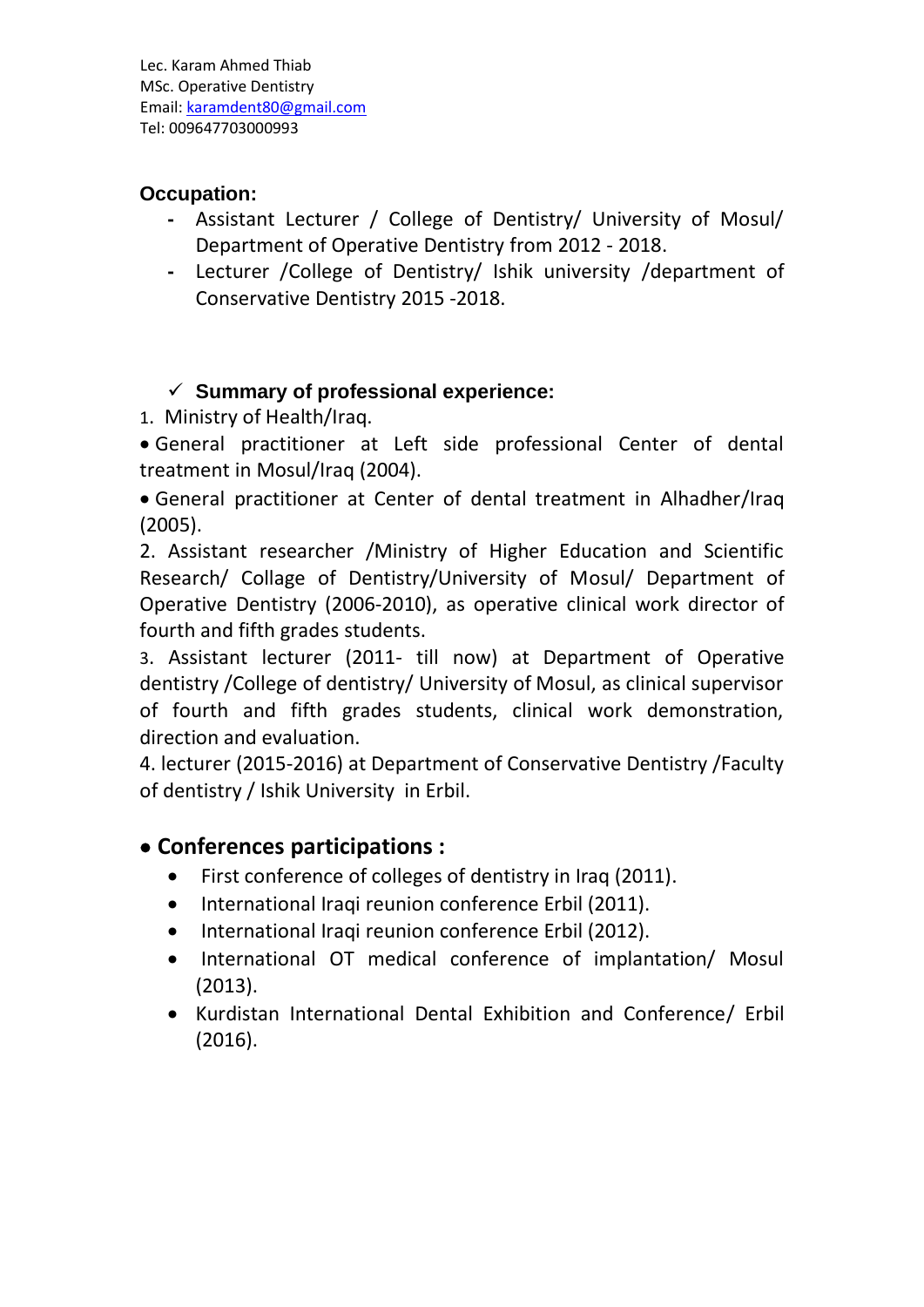Lec. Karam Ahmed Thiab MSc. Operative Dentistry Email: [karamdent80@gmail.com](mailto:karamdent80@gmail.com) Tel: 009647703000993

#### **Occupation:**

- **-** Assistant Lecturer / College of Dentistry/ University of Mosul/ Department of Operative Dentistry from 2012 - 2018.
- **-** Lecturer /College of Dentistry/ Ishik university /department of Conservative Dentistry 2015 -2018.

#### ✓ **Summary of professional experience:**

1. Ministry of Health/Iraq.

• General practitioner at Left side professional Center of dental treatment in Mosul/Iraq (2004).

• General practitioner at Center of dental treatment in Alhadher/Iraq (2005).

2. Assistant researcher /Ministry of Higher Education and Scientific Research/ Collage of Dentistry/University of Mosul/ Department of Operative Dentistry (2006-2010), as operative clinical work director of fourth and fifth grades students.

3. Assistant lecturer (2011- till now) at Department of Operative dentistry /College of dentistry/ University of Mosul, as clinical supervisor of fourth and fifth grades students, clinical work demonstration, direction and evaluation.

4. lecturer (2015-2016) at Department of Conservative Dentistry /Faculty of dentistry / Ishik University in Erbil.

#### • **Conferences participations :**

- First conference of colleges of dentistry in Iraq (2011).
- International Iraqi reunion conference Erbil (2011).
- International Iraqi reunion conference Erbil (2012).
- International OT medical conference of implantation/ Mosul (2013).
- Kurdistan International Dental Exhibition and Conference/ Erbil (2016).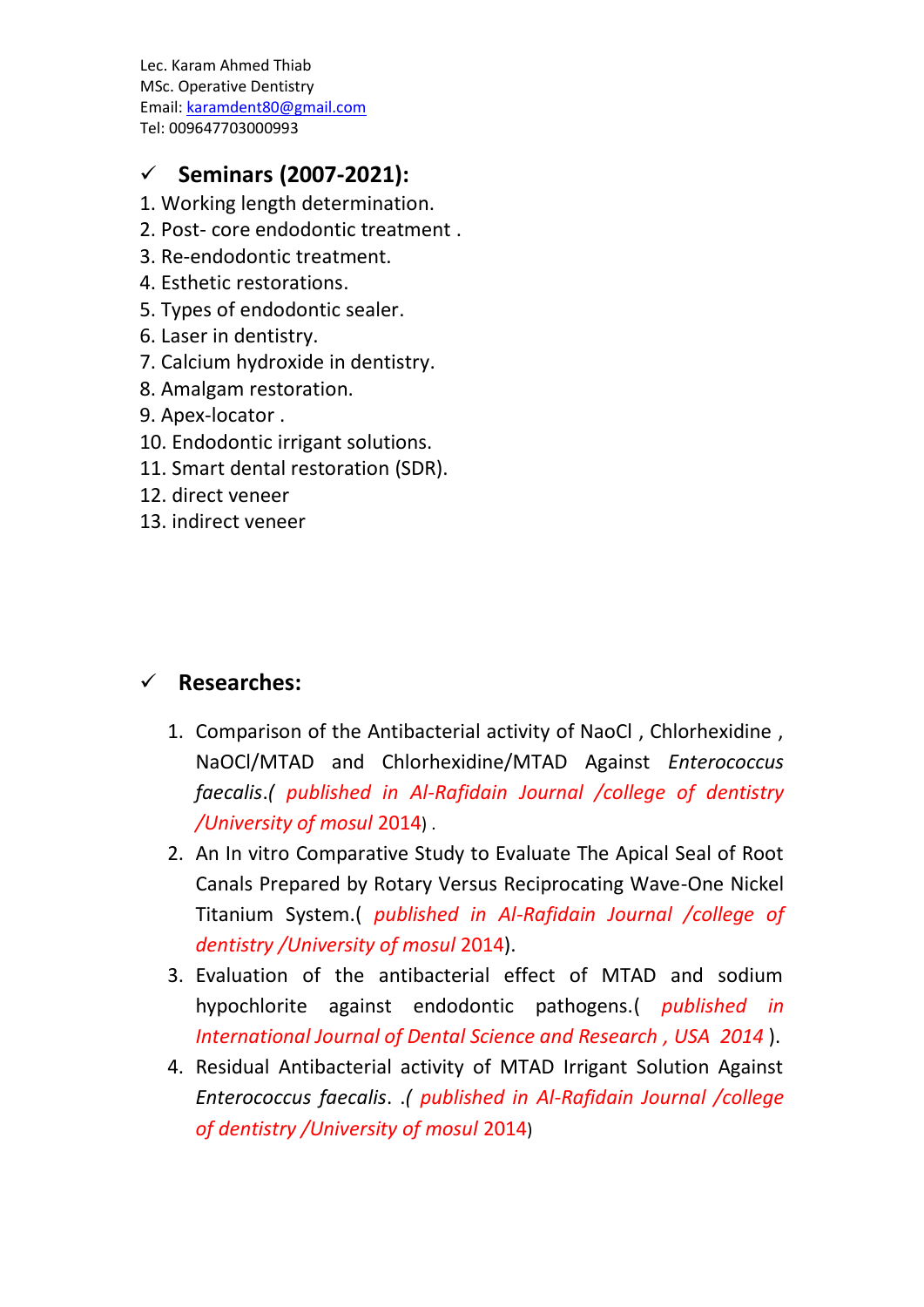Lec. Karam Ahmed Thiab MSc. Operative Dentistry Email: [karamdent80@gmail.com](mailto:karamdent80@gmail.com) Tel: 009647703000993

#### ✓ **Seminars (2007-2021):**

- 1. Working length determination.
- 2. Post- core endodontic treatment .
- 3. Re-endodontic treatment.
- 4. Esthetic restorations.
- 5. Types of endodontic sealer.
- 6. Laser in dentistry.
- 7. Calcium hydroxide in dentistry.
- 8. Amalgam restoration.
- 9. Apex-locator .
- 10. Endodontic irrigant solutions.
- 11. Smart dental restoration (SDR).
- 12. direct veneer
- 13. indirect veneer

#### ✓ **Researches:**

- 1. Comparison of the Antibacterial activity of NaoCl , Chlorhexidine , NaOCl/MTAD and Chlorhexidine/MTAD Against *Enterococcus faecalis*.*( published in Al-Rafidain Journal /college of dentistry /University of mosul* 2014) .
- 2. An In vitro Comparative Study to Evaluate The Apical Seal of Root Canals Prepared by Rotary Versus Reciprocating Wave-One Nickel Titanium System.( *published in Al-Rafidain Journal /college of dentistry /University of mosul* 2014).
- 3. Evaluation of the antibacterial effect of MTAD and sodium hypochlorite against endodontic pathogens.( *published in International Journal of Dental Science and Research , USA 2014* ).
- 4. Residual Antibacterial activity of MTAD Irrigant Solution Against *Enterococcus faecalis*. .*( published in Al-Rafidain Journal /college of dentistry /University of mosul* 2014)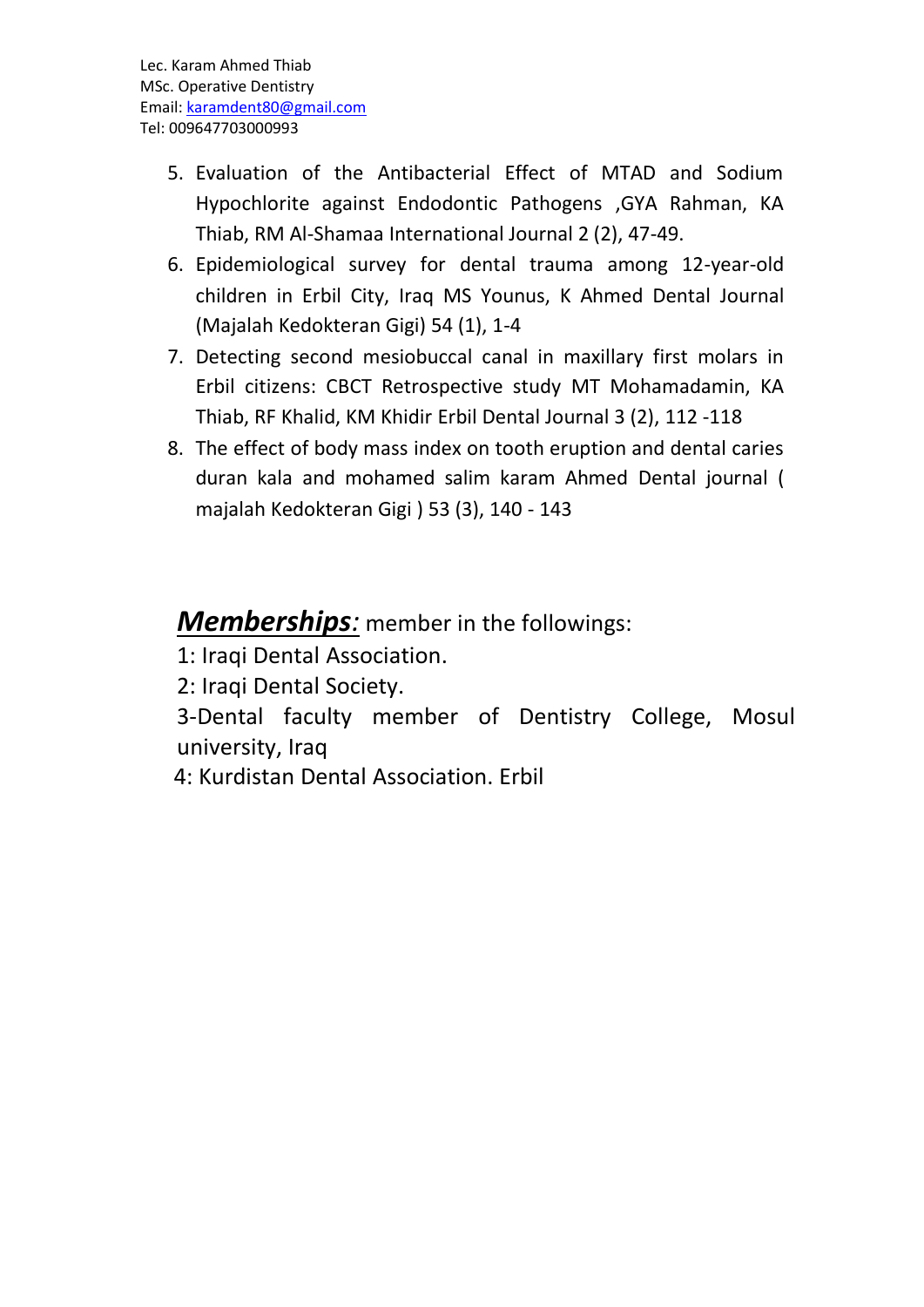- 5. Evaluation of the Antibacterial Effect of MTAD and Sodium Hypochlorite against Endodontic Pathogens ,GYA Rahman, KA Thiab, RM Al-Shamaa International Journal 2 (2), 47-49.
- 6. Epidemiological survey for dental trauma among 12-year-old children in Erbil City, Iraq MS Younus, K Ahmed Dental Journal (Majalah Kedokteran Gigi) 54 (1), 1-4
- 7. Detecting second mesiobuccal canal in maxillary first molars in Erbil citizens: CBCT Retrospective study MT Mohamadamin, KA Thiab, RF Khalid, KM Khidir Erbil Dental Journal 3 (2), 112 -118
- 8. The effect of body mass index on tooth eruption and dental caries duran kala and mohamed salim karam Ahmed Dental journal ( majalah Kedokteran Gigi ) 53 (3), 140 - 143

### *Memberships:* member in the followings:

1: Iraqi Dental Association.

2: Iraqi Dental Society.

3-Dental faculty member of Dentistry College, Mosul university, Iraq

4: Kurdistan Dental Association. Erbil